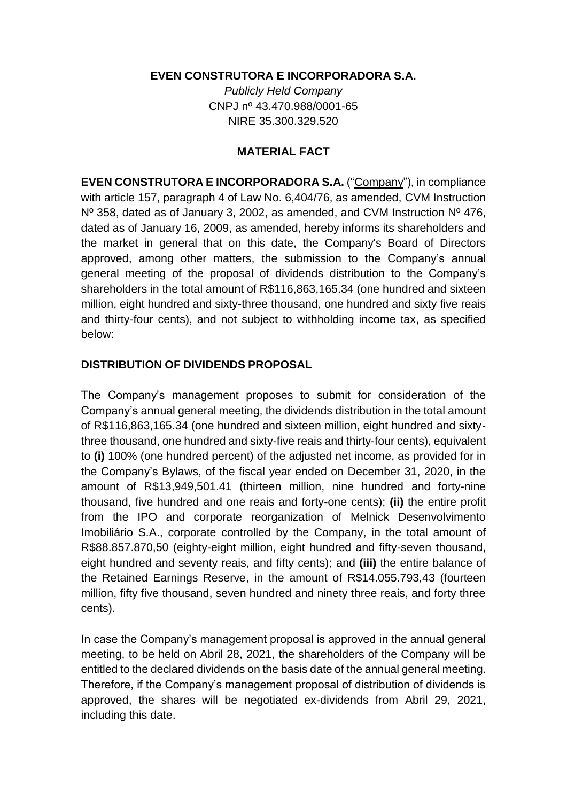## **EVEN CONSTRUTORA E INCORPORADORA S.A.**

*Publicly Held Company*  CNPJ nº 43.470.988/0001-65 NIRE 35.300.329.520

## **MATERIAL FACT**

**EVEN CONSTRUTORA E INCORPORADORA S.A.** ("Company"), in compliance with article 157, paragraph 4 of Law No. 6,404/76, as amended, CVM Instruction Nº 358, dated as of January 3, 2002, as amended, and CVM Instruction Nº 476, dated as of January 16, 2009, as amended, hereby informs its shareholders and the market in general that on this date, the Company's Board of Directors approved, among other matters, the submission to the Company's annual general meeting of the proposal of dividends distribution to the Company's shareholders in the total amount of R\$116,863,165.34 (one hundred and sixteen million, eight hundred and sixty-three thousand, one hundred and sixty five reais and thirty-four cents), and not subject to withholding income tax, as specified below:

## **DISTRIBUTION OF DIVIDENDS PROPOSAL**

The Company's management proposes to submit for consideration of the Company's annual general meeting, the dividends distribution in the total amount of R\$116,863,165.34 (one hundred and sixteen million, eight hundred and sixtythree thousand, one hundred and sixty-five reais and thirty-four cents), equivalent to **(i)** 100% (one hundred percent) of the adjusted net income, as provided for in the Company's Bylaws, of the fiscal year ended on December 31, 2020, in the amount of R\$13,949,501.41 (thirteen million, nine hundred and forty-nine thousand, five hundred and one reais and forty-one cents); **(ii)** the entire profit from the IPO and corporate reorganization of Melnick Desenvolvimento Imobiliário S.A., corporate controlled by the Company, in the total amount of R\$88.857.870,50 (eighty-eight million, eight hundred and fifty-seven thousand, eight hundred and seventy reais, and fifty cents); and **(iii)** the entire balance of the Retained Earnings Reserve, in the amount of R\$14.055.793,43 (fourteen million, fifty five thousand, seven hundred and ninety three reais, and forty three cents).

In case the Company's management proposal is approved in the annual general meeting, to be held on Abril 28, 2021, the shareholders of the Company will be entitled to the declared dividends on the basis date of the annual general meeting. Therefore, if the Company's management proposal of distribution of dividends is approved, the shares will be negotiated ex-dividends from Abril 29, 2021, including this date.